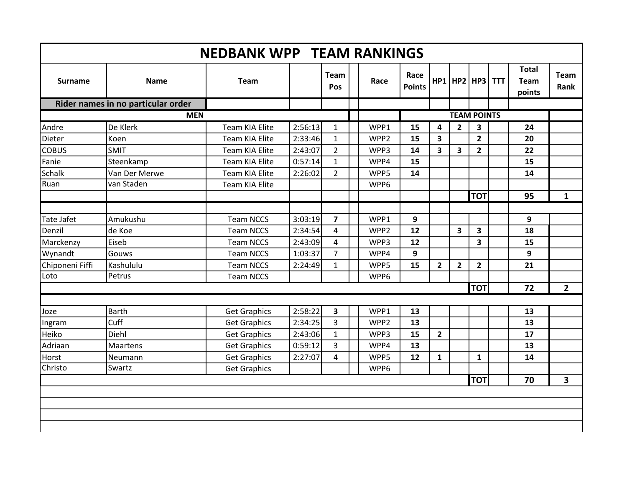| <b>Surname</b>          | <b>Name</b>                        | <b>Team</b>                                |         | Team<br>Pos                    | Race             | Race<br><b>Points</b> |                         |                         | $HP1$   HP2   HP3       | <b>TTT</b> | <b>Total</b><br><b>Team</b><br>points | Team<br><b>Rank</b> |
|-------------------------|------------------------------------|--------------------------------------------|---------|--------------------------------|------------------|-----------------------|-------------------------|-------------------------|-------------------------|------------|---------------------------------------|---------------------|
|                         | Rider names in no particular order |                                            |         |                                |                  |                       |                         |                         |                         |            |                                       |                     |
|                         | <b>MEN</b>                         |                                            |         |                                |                  |                       |                         |                         | <b>TEAM POINTS</b>      |            |                                       |                     |
| Andre                   | De Klerk                           | Team KIA Elite                             | 2:56:13 | 1                              | WPP1             | 15                    | 4                       | $\overline{2}$          | 3                       |            | 24                                    |                     |
| Dieter                  | Koen                               | <b>Team KIA Elite</b>                      | 2:33:46 | $\mathbf{1}$                   | WPP <sub>2</sub> | 15                    | $\overline{\mathbf{3}}$ |                         | $\overline{2}$          |            | 20                                    |                     |
| <b>COBUS</b>            | <b>SMIT</b>                        | Team KIA Elite                             | 2:43:07 | $\overline{2}$                 | WPP3             | 14                    | $\overline{\mathbf{3}}$ | $\overline{\mathbf{3}}$ | $\overline{2}$          |            | 22                                    |                     |
| Fanie                   | Steenkamp                          | Team KIA Elite                             | 0:57:14 | $\mathbf{1}$                   | WPP4             | 15                    |                         |                         |                         |            | 15                                    |                     |
| <b>Schalk</b>           | Van Der Merwe                      | <b>Team KIA Elite</b>                      | 2:26:02 | $\overline{2}$                 | WPP5             | 14                    |                         |                         |                         |            | 14                                    |                     |
| Ruan                    | van Staden                         | <b>Team KIA Elite</b>                      |         |                                | WPP6             |                       |                         |                         |                         |            |                                       |                     |
|                         |                                    |                                            |         |                                |                  |                       |                         |                         | <b>TOT</b>              |            | 95                                    | $\mathbf{1}$        |
|                         |                                    |                                            |         |                                |                  |                       |                         |                         |                         |            |                                       |                     |
| <b>Tate Jafet</b>       | Amukushu                           | <b>Team NCCS</b>                           | 3:03:19 | $\overline{\mathbf{z}}$        | WPP1             | 9                     |                         |                         |                         |            | 9                                     |                     |
| Denzil                  | de Koe                             | <b>Team NCCS</b>                           | 2:34:54 | 4                              | WPP <sub>2</sub> | 12                    |                         | 3                       | $\overline{\mathbf{3}}$ |            | 18                                    |                     |
| Marckenzy               | Eiseb                              | <b>Team NCCS</b>                           | 2:43:09 | 4                              | WPP3             | 12                    |                         |                         | $\overline{\mathbf{3}}$ |            | 15                                    |                     |
| Wynandt                 | Gouws                              | <b>Team NCCS</b>                           | 1:03:37 | $\overline{7}$                 | WPP4             | 9                     |                         |                         |                         |            | 9                                     |                     |
| Chiponeni Fiffi         | Kashululu                          | <b>Team NCCS</b>                           | 2:24:49 | $\mathbf{1}$                   | WPP5             | 15                    | $\overline{2}$          | $\mathbf{2}$            | $\overline{2}$          |            | 21                                    |                     |
| Loto                    | Petrus                             | <b>Team NCCS</b>                           |         |                                | WPP6             |                       |                         |                         |                         |            |                                       |                     |
|                         |                                    |                                            |         |                                |                  |                       |                         |                         | <b>TOT</b>              |            | 72                                    | $\overline{2}$      |
| Joze                    | <b>Barth</b>                       |                                            | 2:58:22 | $\overline{\mathbf{3}}$        | WPP1             | 13                    |                         |                         |                         |            | 13                                    |                     |
|                         | Cuff                               | <b>Get Graphics</b><br><b>Get Graphics</b> | 2:34:25 | 3                              | WPP <sub>2</sub> | 13                    |                         |                         |                         |            | 13                                    |                     |
| Ingram<br>Heiko         | Diehl                              | <b>Get Graphics</b>                        | 2:43:06 |                                | WPP3             | 15                    | $\overline{2}$          |                         |                         |            | 17                                    |                     |
| Adriaan                 | <b>Maartens</b>                    | <b>Get Graphics</b>                        | 0:59:12 | $\mathbf{1}$<br>$\overline{3}$ | WPP4             | 13                    |                         |                         |                         |            | 13                                    |                     |
|                         |                                    |                                            |         |                                |                  |                       |                         |                         |                         |            |                                       |                     |
| <b>Horst</b><br>Christo | Neumann<br>Swartz                  | <b>Get Graphics</b>                        | 2:27:07 | 4                              | WPP5             | 12                    | $\mathbf{1}$            |                         | $\mathbf{1}$            |            | 14                                    |                     |
|                         |                                    | <b>Get Graphics</b>                        |         |                                | WPP6             |                       |                         |                         | <b>TOT</b>              |            | 70                                    |                     |
|                         |                                    |                                            |         |                                |                  |                       |                         |                         |                         |            |                                       | 3                   |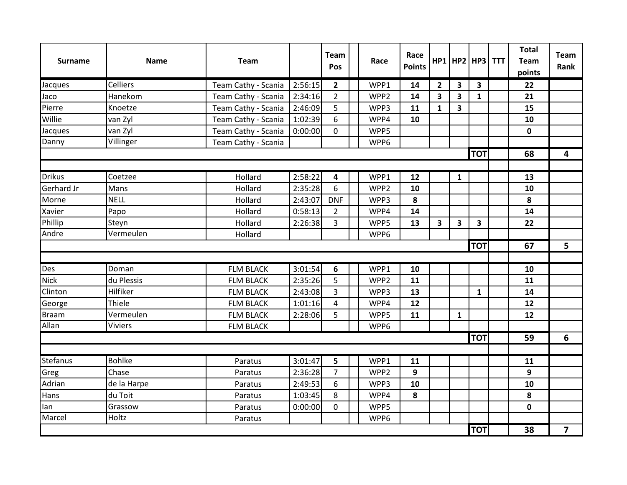| <b>Surname</b>  | <b>Name</b>     | <b>Team</b>         |         | <b>Team</b><br>Pos | Race             | Race<br><b>Points</b> |                         |                         | $HP1$ HP2 HP3 TTT | <b>Total</b><br><b>Team</b><br>points | <b>Team</b><br>Rank |
|-----------------|-----------------|---------------------|---------|--------------------|------------------|-----------------------|-------------------------|-------------------------|-------------------|---------------------------------------|---------------------|
| Jacques         | <b>Celliers</b> | Team Cathy - Scania | 2:56:15 | $\overline{2}$     | WPP1             | 14                    | $\overline{2}$          | 3                       | 3                 | 22                                    |                     |
| Jaco            | Hanekom         | Team Cathy - Scania | 2:34:16 | $\overline{2}$     | WPP <sub>2</sub> | 14                    | $\overline{\mathbf{3}}$ | $\overline{\mathbf{3}}$ | 1                 | 21                                    |                     |
| Pierre          | Knoetze         | Team Cathy - Scania | 2:46:09 | 5                  | WPP3             | 11                    | $\mathbf{1}$            | 3                       |                   | 15                                    |                     |
| Willie          | van Zyl         | Team Cathy - Scania | 1:02:39 | 6                  | WPP4             | 10                    |                         |                         |                   | 10                                    |                     |
| Jacques         | van Zyl         | Team Cathy - Scania | 0:00:00 | $\mathbf 0$        | WPP5             |                       |                         |                         |                   | $\mathbf 0$                           |                     |
| Danny           | Villinger       | Team Cathy - Scania |         |                    | WPP6             |                       |                         |                         |                   |                                       |                     |
|                 |                 |                     |         |                    |                  |                       |                         |                         | <b>TOT</b>        | 68                                    | 4                   |
|                 |                 |                     |         |                    |                  |                       |                         |                         |                   |                                       |                     |
| <b>Drikus</b>   | Coetzee         | Hollard             | 2:58:22 | 4                  | WPP1             | 12                    |                         | $\mathbf{1}$            |                   | 13                                    |                     |
| Gerhard Jr      | Mans            | Hollard             | 2:35:28 | 6                  | WPP2             | 10                    |                         |                         |                   | 10                                    |                     |
| Morne           | <b>NELL</b>     | Hollard             | 2:43:07 | <b>DNF</b>         | WPP3             | 8                     |                         |                         |                   | 8                                     |                     |
| Xavier          | Papo            | Hollard             | 0:58:13 | $\overline{2}$     | WPP4             | 14                    |                         |                         |                   | 14                                    |                     |
| Phillip         | Steyn           | Hollard             | 2:26:38 | 3                  | WPP5             | 13                    | 3                       | 3                       | 3                 | 22                                    |                     |
| Andre           | Vermeulen       | Hollard             |         |                    | WPP6             |                       |                         |                         |                   |                                       |                     |
|                 |                 |                     |         |                    |                  |                       |                         |                         | <b>TOT</b>        | 67                                    | 5                   |
|                 |                 |                     |         |                    |                  |                       |                         |                         |                   |                                       |                     |
| Des             | Doman           | <b>FLM BLACK</b>    | 3:01:54 | 6                  | WPP1             | 10                    |                         |                         |                   | 10                                    |                     |
| <b>Nick</b>     | du Plessis      | <b>FLM BLACK</b>    | 2:35:26 | 5                  | WPP <sub>2</sub> | 11                    |                         |                         |                   | 11                                    |                     |
| Clinton         | Hilfiker        | <b>FLM BLACK</b>    | 2:43:08 | 3                  | WPP3             | 13                    |                         |                         | 1                 | 14                                    |                     |
| George          | Thiele          | <b>FLM BLACK</b>    | 1:01:16 | 4                  | WPP4             | 12                    |                         |                         |                   | 12                                    |                     |
| <b>Braam</b>    | Vermeulen       | <b>FLM BLACK</b>    | 2:28:06 | 5                  | WPP5             | 11                    |                         | $\mathbf{1}$            |                   | 12                                    |                     |
| Allan           | <b>Viviers</b>  | <b>FLM BLACK</b>    |         |                    | WPP6             |                       |                         |                         |                   |                                       |                     |
|                 |                 |                     |         |                    |                  |                       |                         |                         | <b>TOT</b>        | 59                                    | 6                   |
|                 |                 |                     |         |                    |                  |                       |                         |                         |                   |                                       |                     |
| <b>Stefanus</b> | <b>Bohlke</b>   | Paratus             | 3:01:47 | 5                  | WPP1             | 11                    |                         |                         |                   | 11                                    |                     |
| Greg            | Chase           | Paratus             | 2:36:28 | $\overline{7}$     | WPP <sub>2</sub> | 9                     |                         |                         |                   | 9                                     |                     |
| Adrian          | de la Harpe     | Paratus             | 2:49:53 | 6                  | WPP3             | 10                    |                         |                         |                   | 10                                    |                     |
| Hans            | du Toit         | Paratus             | 1:03:45 | 8                  | WPP4             | 8                     |                         |                         |                   | 8                                     |                     |
| lan             | Grassow         | Paratus             | 0:00:00 | 0                  | WPP5             |                       |                         |                         |                   | $\mathbf 0$                           |                     |
| Marcel          | Holtz           | Paratus             |         |                    | WPP6             |                       |                         |                         |                   |                                       |                     |
|                 |                 |                     |         |                    |                  |                       |                         |                         | <b>TOT</b>        | 38                                    | $\overline{7}$      |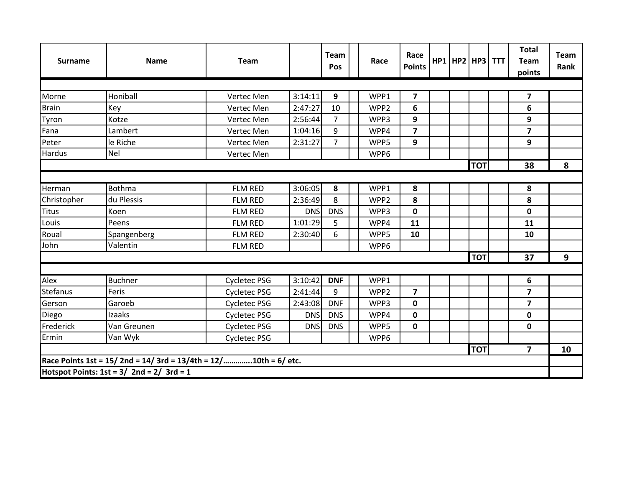| <b>Surname</b> | <b>Name</b>                                                    | <b>Team</b>         |            | <b>Team</b><br>Pos | Race | Race<br><b>Points</b> |  | HP1 HP2 HP3 TTT | <b>Total</b><br><b>Team</b><br>points | <b>Team</b><br>Rank |
|----------------|----------------------------------------------------------------|---------------------|------------|--------------------|------|-----------------------|--|-----------------|---------------------------------------|---------------------|
|                |                                                                |                     |            |                    |      |                       |  |                 |                                       |                     |
| Morne          | Honiball                                                       | Vertec Men          | 3:14:11    | 9                  | WPP1 | 7                     |  |                 | 7                                     |                     |
| <b>Brain</b>   | <b>Key</b>                                                     | Vertec Men          | 2:47:27    | 10                 | WPP2 | 6                     |  |                 | 6                                     |                     |
| Tyron          | Kotze                                                          | Vertec Men          | 2:56:44    | 7                  | WPP3 | 9                     |  |                 | 9                                     |                     |
| Fana           | Lambert                                                        | Vertec Men          | 1:04:16    | 9                  | WPP4 | $\overline{7}$        |  |                 | $\overline{\mathbf{z}}$               |                     |
| Peter          | le Riche                                                       | Vertec Men          | 2:31:27    | $\overline{7}$     | WPP5 | 9                     |  |                 | 9                                     |                     |
| Hardus         | <b>Nel</b>                                                     | Vertec Men          |            |                    | WPP6 |                       |  |                 |                                       |                     |
|                |                                                                |                     |            |                    |      |                       |  | <b>TOT</b>      | 38                                    | 8                   |
|                |                                                                |                     |            |                    |      |                       |  |                 |                                       |                     |
| Herman         | Bothma                                                         | FLM RED             | 3:06:05    | 8                  | WPP1 | 8                     |  |                 | 8                                     |                     |
| Christopher    | du Plessis                                                     | <b>FLM RED</b>      | 2:36:49    | 8                  | WPP2 | 8                     |  |                 | 8                                     |                     |
| <b>Titus</b>   | Koen                                                           | <b>FLM RED</b>      | <b>DNS</b> | <b>DNS</b>         | WPP3 | $\mathbf 0$           |  |                 | $\mathbf 0$                           |                     |
| Louis          | Peens                                                          | <b>FLM RED</b>      | 1:01:29    | 5                  | WPP4 | 11                    |  |                 | 11                                    |                     |
| Roual          | Spangenberg                                                    | <b>FLM RED</b>      | 2:30:40    | 6                  | WPP5 | 10                    |  |                 | 10                                    |                     |
| John           | Valentin                                                       | <b>FLM RED</b>      |            |                    | WPP6 |                       |  |                 |                                       |                     |
|                |                                                                |                     |            |                    |      |                       |  | <b>TOT</b>      | 37                                    | 9                   |
|                |                                                                |                     |            |                    |      |                       |  |                 |                                       |                     |
| Alex           | <b>Buchner</b>                                                 | <b>Cycletec PSG</b> | 3:10:42    | <b>DNF</b>         | WPP1 |                       |  |                 | 6                                     |                     |
| Stefanus       | Feris                                                          | <b>Cycletec PSG</b> | 2:41:44    | 9                  | WPP2 | $\overline{7}$        |  |                 | $\overline{\mathbf{z}}$               |                     |
| Gerson         | Garoeb                                                         | <b>Cycletec PSG</b> | 2:43:08    | <b>DNF</b>         | WPP3 | 0                     |  |                 | $\overline{\mathbf{z}}$               |                     |
| Diego          | Izaaks                                                         | <b>Cycletec PSG</b> | <b>DNS</b> | <b>DNS</b>         | WPP4 | $\mathbf 0$           |  |                 | $\mathbf 0$                           |                     |
| Frederick      | Van Greunen                                                    | <b>Cycletec PSG</b> | <b>DNS</b> | <b>DNS</b>         | WPP5 | 0                     |  |                 | 0                                     |                     |
| Ermin          | Van Wyk                                                        | <b>Cycletec PSG</b> |            |                    | WPP6 |                       |  |                 |                                       |                     |
|                |                                                                |                     |            |                    |      |                       |  | <b>TOT</b>      | 7                                     | 10                  |
|                | Race Points 1st = 15/2nd = 14/3rd = 13/4th = 12/10th = 6/ etc. |                     |            |                    |      |                       |  |                 |                                       |                     |
|                | Hotspot Points: $1st = 3/2nd = 2/3rd = 1$                      |                     |            |                    |      |                       |  |                 |                                       |                     |